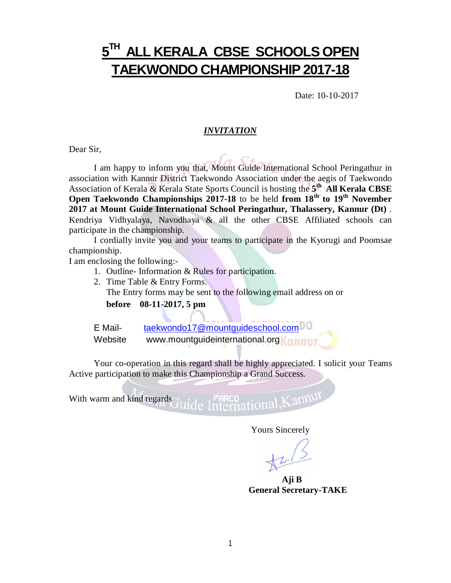# **5 TH ALL KERALA CBSE SCHOOLS OPEN TAEKWONDO CHAMPIONSHIP 2017-18**

Date: 10-10-2017

#### *INVITATION*

Dear Sir,

I am happy to inform you that, Mount Guide International School Peringathur in association with Kannur District Taekwondo Association under the aegis of Taekwondo Association of Kerala & Kerala State Sports Council is hosting the **5 th All Kerala CBSE Open Taekwondo Championships 2017-18** to be held **from 18 th to 19 th November 2017 at Mount Guide International School Peringathur, Thalassery, Kannur (Dt)** . Kendriya Vidhyalaya, Navodhaya & all the other CBSE Affiliated schools can participate in the championship.

I cordially invite you and your teams to participate in the Kyorugi and Poomsae championship.

I am enclosing the following:-

- 1. Outline- Information & Rules for participation.
- 2. Time Table & Entry Forms.

The Entry forms may be sent to the following email address on or

**before 08-11-2017, 5 pm**

E Mail- [taekwondo17@mountguideschool.com](mailto:taekwondo17@mountguideschool.com) Website [www.mountguideinternational.org](http://www.mountguideinternational.org)**Kannur** 

Your co-operation in this regard shall be highly appreciated. I solicit your Teams Active participation to make this Championship a Grand Success.

With warm and kind regards PARCO<br>nternational, Kannur

Yours Sincerely

**Aji B General Secretary-TAKE**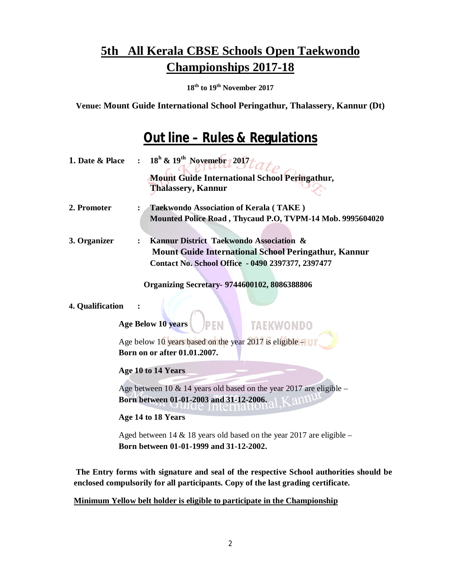**18 th to 19 th November 2017**

**Venue: Mount Guide International School Peringathur, Thalassery, Kannur (Dt)**

## **Out line – Rules & Regulations**

| 1. Date & Place  | $18^{\rm h}$ & $19^{\rm th}$ Novemebr 2017                                                                        |
|------------------|-------------------------------------------------------------------------------------------------------------------|
|                  | <b>Mount Guide International School Peringathur,</b>                                                              |
|                  | <b>Thalassery, Kannur</b>                                                                                         |
| 2. Promoter      | <b>Taekwondo Association of Kerala (TAKE)</b><br>:                                                                |
|                  | Mounted Police Road, Thycaud P.O, TVPM-14 Mob. 9995604020                                                         |
| 3. Organizer     | Kannur District Taekwondo Association &<br>:                                                                      |
|                  | <b>Mount Guide International School Peringathur, Kannur</b><br>Contact No. School Office - 0490 2397377, 2397477  |
|                  | <b>Organizing Secretary- 9744600102, 8086388806</b>                                                               |
| 4. Qualification | Age Below 10 years<br><b>TAEKWONDO</b>                                                                            |
|                  | Age below 10 years based on the year 2017 is eligible $-$<br>Born on or after 01.01.2007.                         |
|                  | Age 10 to 14 Years                                                                                                |
|                  | Age between 10 $&$ 14 years old based on the year 2017 are eligible –<br>Born between 01-01-2003 and 31-12-2006.  |
|                  | Age 14 to 18 Years                                                                                                |
|                  | Aged between 14 & 18 years old based on the year 2017 are eligible $-$<br>Born between 01-01-1999 and 31-12-2002. |
|                  |                                                                                                                   |

**The Entry forms with signature and seal of the respective School authorities should be enclosed compulsorily for all participants. Copy of the last grading certificate.**

**Minimum Yellow belt holder is eligible to participate in the Championship**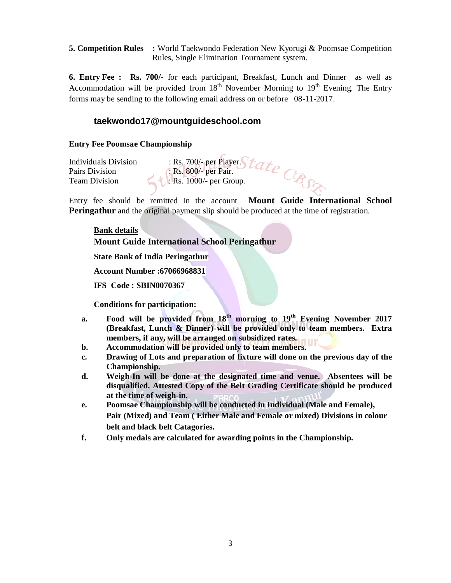**5. Competition Rules :** World Taekwondo Federation New Kyorugi & Poomsae Competition Rules, Single Elimination Tournament system.

**6. Entry Fee : Rs. 700/-** for each participant, Breakfast, Lunch and Dinner as well as Accommodation will be provided from 18<sup>th</sup> November Morning to 19<sup>th</sup> Evening. The Entry forms may be sending to the following email address on or before 08-11-2017.

## **[taekwondo17@mountguideschool.com](mailto:taekwondo17@mountguideschool.com)**

### **Entry Fee Poomsae Championship**

Individuals Division : Rs. 700/- per Player. Pairs Division : Rs. 800/- per Pair. Team Division **1999** Rs. 1000/- per Group.

Entry fee should be remitted in the account **Mount Guide International School Peringathur** and the original payment slip should be produced at the time of registration.

### **Bank details**

**Mount Guide International School Peringathur**

**State Bank of India Peringathur**

**Account Number :67066968831**

**IFS Code : SBIN0070367**

**Conditions for participation:**

- **a. Food will be provided from 18 th morning to 19 th Evening November 2017 (Breakfast, Lunch & Dinner) will be provided only to team members. Extra members, if any, will be arranged on subsidized rates.**
- **b. Accommodation will be provided only to team members.**
- **c. Drawing of Lots and preparation of fixture will done on the previous day of the Championship.**
- **d. Weigh-In will be done at the designated time and venue. Absentees will be disqualified. Attested Copy of the Belt Grading Certificate should be produced at the time of weigh-in.**
- **e. Poomsae Championship will be conducted in Individual (Male and Female), Pair (Mixed) and Team ( Either Male and Female or mixed) Divisions in colour belt and black belt Catagories.**
- **f. Only medals are calculated for awarding points in the Championship.**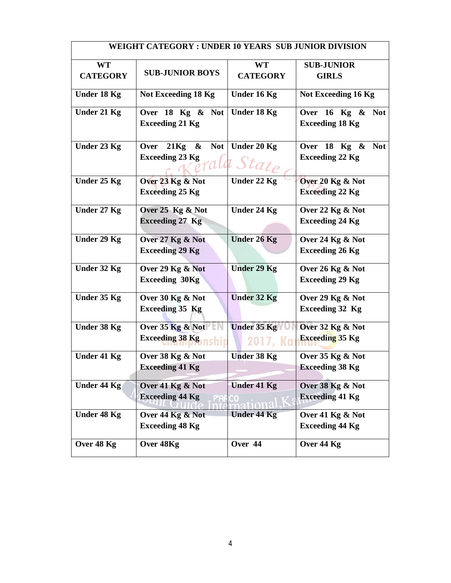|                    | WEIGHT CATEGORY : UNDER 10 YEARS SUB JUNIOR DIVISION |                            |                                                 |
|--------------------|------------------------------------------------------|----------------------------|-------------------------------------------------|
| <b>WT</b>          |                                                      | <b>WT</b>                  | <b>SUB-JUNIOR</b>                               |
| <b>CATEGORY</b>    | <b>SUB-JUNIOR BOYS</b>                               | <b>CATEGORY</b>            | <b>GIRLS</b>                                    |
| Under 18 Kg        | Not Exceeding 18 Kg                                  | Under 16 Kg                | Not Exceeding 16 Kg                             |
| Under 21 Kg        | Over 18 Kg & Not<br><b>Exceeding 21 Kg</b>           | Under 18 Kg                | Over 16 Kg & Not<br><b>Exceeding 18 Kg</b>      |
| Under 23 Kg        | $21Kg \&$<br>Not  <br>Over<br><b>Exceeding 23 Kg</b> | Under 20 Kg<br>orala Stato | Over $18$ Kg $\&$ Not<br><b>Exceeding 22 Kg</b> |
| Under 25 Kg        | Over 23 Kg & Not<br><b>Exceeding 25 Kg</b>           | Under 22 Kg                | Over 20 Kg & Not<br><b>Exceeding 22 Kg</b>      |
| Under 27 Kg        | Over $25$ Kg $\&$ Not<br><b>Exceeding 27 Kg</b>      | Under 24 Kg                | Over 22 Kg & Not<br><b>Exceeding 24 Kg</b>      |
| Under 29 Kg        | Over 27 Kg & Not<br><b>Exceeding 29 Kg</b>           | <b>Under 26 Kg</b>         | Over 24 Kg & Not<br><b>Exceeding 26 Kg</b>      |
| Under 32 Kg        | Over 29 Kg & Not<br><b>Exceeding 30Kg</b>            | <b>Under 29 Kg</b>         | Over 26 Kg & Not<br><b>Exceeding 29 Kg</b>      |
| Under 35 Kg        | Over 30 Kg & Not<br><b>Exceeding 35 Kg</b>           | <b>Under 32 Kg</b>         | Over 29 Kg & Not<br><b>Exceeding 32 Kg</b>      |
| Under 38 Kg        | Over $35$ Kg & Not<br><b>Exceeding 38 Kg</b>         | Under 35 Kg<br>2017, Kai   | Over 32 Kg & Not<br><b>Exceeding 35 Kg</b>      |
| <b>Under 41 Kg</b> | Over 38 Kg & Not<br><b>Exceeding 41 Kg</b>           | <b>Under 38 Kg</b>         | Over 35 Kg & Not<br><b>Exceeding 38 Kg</b>      |
| Under 44 $Kg$      | Over 41 Kg & Not<br><b>Exceeding 44 Kg</b>           | <b>Under 41 Kg</b>         | Over 38 Kg & Not<br><b>Exceeding 41 Kg</b>      |
| Under 48 Kg        | Over 44 Kg & Not<br><b>Exceeding 48 Kg</b>           | <b>Under 44 Kg</b>         | Over 41 Kg & Not<br><b>Exceeding 44 Kg</b>      |
| Over 48 Kg         | Over 48Kg                                            | Over 44                    | Over 44 Kg                                      |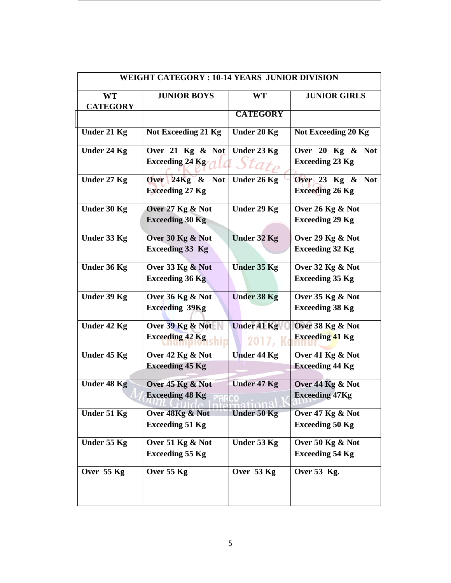|                    | <b>WEIGHT CATEGORY: 10-14 YEARS JUNIOR DIVISION</b> |                    |                        |
|--------------------|-----------------------------------------------------|--------------------|------------------------|
| <b>WT</b>          | <b>JUNIOR BOYS</b>                                  | <b>WT</b>          | <b>JUNIOR GIRLS</b>    |
| <b>CATEGORY</b>    |                                                     |                    |                        |
|                    |                                                     | <b>CATEGORY</b>    |                        |
| <b>Under 21 Kg</b> | <b>Not Exceeding 21 Kg</b>                          | <b>Under 20 Kg</b> | Not Exceeding 20 Kg    |
| Under 24 Kg        | Over 21 Kg & Not                                    | Under 23 Kg        | Over 20 Kg & Not       |
|                    | Exceeding 24 Kg                                     | $Stat_{P}$         | <b>Exceeding 23 Kg</b> |
| Under 27 Kg        | Over $24Kg \& Not$                                  | Under 26 Kg        | Over $23$ Kg & Not     |
|                    | <b>Exceeding 27 Kg</b>                              |                    | <b>Exceeding 26 Kg</b> |
| Under 30 Kg        | Over 27 Kg & Not                                    | Under 29 Kg        | Over 26 Kg & Not       |
|                    | <b>Exceeding 30 Kg</b>                              |                    | <b>Exceeding 29 Kg</b> |
| Under 33 Kg        | Over 30 Kg & Not                                    | Under 32 Kg        | Over 29 Kg & Not       |
|                    | <b>Exceeding 33 Kg</b>                              |                    | <b>Exceeding 32 Kg</b> |
| Under 36 Kg        | Over 33 Kg & Not                                    | <b>Under 35 Kg</b> | Over 32 Kg & Not       |
|                    | <b>Exceeding 36 Kg</b>                              |                    | <b>Exceeding 35 Kg</b> |
| Under 39 Kg        | Over 36 Kg & Not                                    | <b>Under 38 Kg</b> | Over 35 Kg & Not       |
|                    | <b>Exceeding 39Kg</b>                               |                    | <b>Exceeding 38 Kg</b> |
| Under 42 Kg        | Over 39 Kg & Not                                    | <b>Under 41 Kg</b> | Over 38 Kg & Not       |
|                    | <b>Exceeding 42 Kg</b>                              | 2017,1             | <b>Exceeding 41 Kg</b> |
| Under 45 Kg        | Over 42 Kg & Not                                    | <b>Under 44 Kg</b> | Over 41 Kg & Not       |
|                    | <b>Exceeding 45 Kg</b>                              |                    | <b>Exceeding 44 Kg</b> |
| <b>Under 48 Kg</b> | Over 45 Kg & Not                                    | Under 47 Kg        | Over 44 Kg & Not       |
|                    | <b>Exceeding 48 Kg</b>                              |                    | <b>Exceeding 47Kg</b>  |
| <b>Under 51 Kg</b> | Over 48Kg & Not                                     | Under 50 Kg        | Over 47 Kg & Not       |
|                    | <b>Exceeding 51 Kg</b>                              |                    | <b>Exceeding 50 Kg</b> |
| Under 55 Kg        | Over 51 Kg & Not                                    | Under 53 Kg        | Over 50 $Kg \& Not$    |
|                    | <b>Exceeding 55 Kg</b>                              |                    | <b>Exceeding 54 Kg</b> |
| Over 55 Kg         | Over 55 Kg                                          | Over 53 Kg         | Over 53 Kg.            |
|                    |                                                     |                    |                        |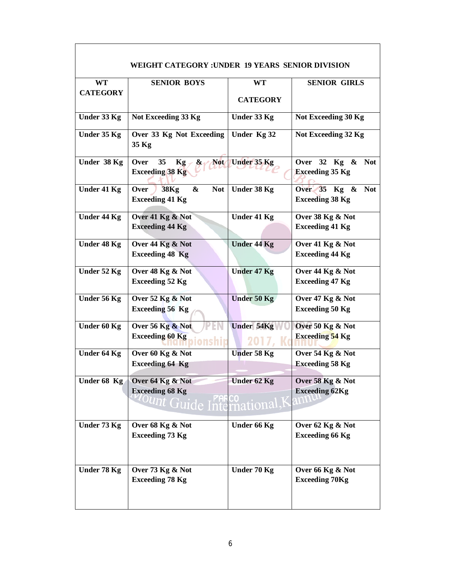|                    | WEIGHT CATEGORY: UNDER 19 YEARS SENIOR DIVISION                 |                    |                                                      |
|--------------------|-----------------------------------------------------------------|--------------------|------------------------------------------------------|
| <b>WT</b>          | <b>SENIOR BOYS</b>                                              | <b>WT</b>          | <b>SENIOR GIRLS</b>                                  |
| <b>CATEGORY</b>    |                                                                 |                    |                                                      |
|                    |                                                                 | <b>CATEGORY</b>    |                                                      |
| Under 33 Kg        | Not Exceeding 33 Kg                                             | Under 33 Kg        | Not Exceeding 30 Kg                                  |
| Under 35 Kg        | Over 33 Kg Not Exceeding<br>35 Kg                               | Under Kg 32        | Not Exceeding 32 Kg                                  |
| Under 38 Kg        | Over<br>35<br>Kg<br>$\mathbf{\alpha}$<br><b>Exceeding 38 Kg</b> | Not Under 35 Kg    | Over 32 Kg &<br><b>Not</b><br><b>Exceeding 35 Kg</b> |
| Under 41 Kg        | <b>38Kg</b><br><b>Not</b><br>Over<br>&                          | Under 38 Kg        | Over $35$ Kg &<br><b>Not</b>                         |
|                    | <b>Exceeding 41 Kg</b>                                          |                    | <b>Exceeding 38 Kg</b>                               |
| <b>Under 44 Kg</b> | Over 41 Kg & Not                                                | Under 41 Kg        | Over 38 Kg & Not                                     |
|                    | <b>Exceeding 44 Kg</b>                                          |                    | <b>Exceeding 41 Kg</b>                               |
|                    |                                                                 |                    |                                                      |
| Under 48 Kg        | Over 44 Kg & Not                                                | <b>Under 44 Kg</b> | Over 41 Kg & Not                                     |
|                    | <b>Exceeding 48 Kg</b>                                          |                    | <b>Exceeding 44 Kg</b>                               |
| Under 52 Kg        | Over 48 Kg & Not                                                | <b>Under 47 Kg</b> | Over 44 Kg & Not                                     |
|                    | <b>Exceeding 52 Kg</b>                                          |                    | <b>Exceeding 47 Kg</b>                               |
| Under 56 Kg        | Over 52 Kg & Not                                                | Under 50 Kg        | Over 47 Kg & Not                                     |
|                    | <b>Exceeding 56 Kg</b>                                          |                    | <b>Exceeding 50 Kg</b>                               |
| Under 60 Kg        | Over 56 Kg & Not                                                | <b>Under 54Kg</b>  | Over 50 Kg & Not                                     |
|                    | <b>Exceeding 60 Kg</b>                                          | 2017,              | <b>Exceeding 54 Kg</b>                               |
| Under 64 Kg        | Over 60 Kg & Not                                                | <b>Under 58 Kg</b> | Over 54 Kg & Not                                     |
|                    | <b>Exceeding 64 Kg</b>                                          |                    | <b>Exceeding 58 Kg</b>                               |
| Under 68 Kg        | Over 64 Kg & Not                                                | Under 62 Kg        | Over 58 Kg & Not                                     |
|                    | <b>Exceeding 68 Kg</b>                                          |                    | <b>Exceeding 62Kg</b>                                |
|                    | Int Guide International, K                                      |                    |                                                      |
| Under 73 Kg        | Over 68 Kg & Not                                                | Under 66 Kg        | Over 62 Kg & Not                                     |
|                    | <b>Exceeding 73 Kg</b>                                          |                    | <b>Exceeding 66 Kg</b>                               |
|                    |                                                                 |                    |                                                      |
| Under 78 Kg        | Over 73 Kg & Not                                                | Under 70 Kg        | Over 66 Kg & Not                                     |
|                    | <b>Exceeding 78 Kg</b>                                          |                    | <b>Exceeding 70Kg</b>                                |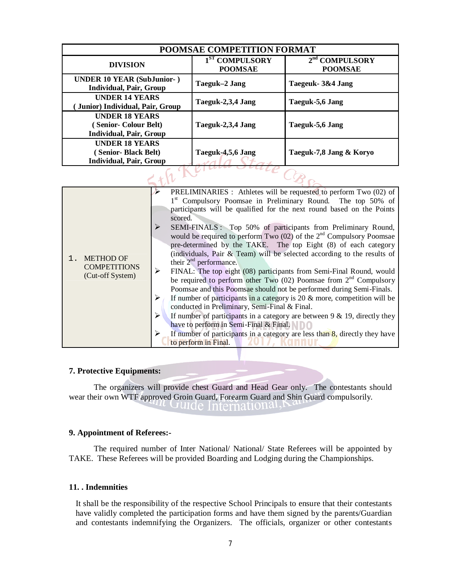| POOMSAE COMPETITION FORMAT                                                           |                                              |                                              |  |  |  |  |  |  |  |  |  |
|--------------------------------------------------------------------------------------|----------------------------------------------|----------------------------------------------|--|--|--|--|--|--|--|--|--|
| <b>DIVISION</b>                                                                      | 1 <sup>ST</sup> COMPULSORY<br><b>POOMSAE</b> | 2 <sup>nd</sup> COMPULSORY<br><b>POOMSAE</b> |  |  |  |  |  |  |  |  |  |
| <b>UNDER 10 YEAR (SubJunior-)</b><br><b>Individual, Pair, Group</b>                  | Taeguk-2 Jang                                | Taegeuk - 3&4 Jang                           |  |  |  |  |  |  |  |  |  |
| <b>UNDER 14 YEARS</b><br>Junior) Individual, Pair, Group                             | Taeguk-2,3,4 Jang                            | Taeguk-5,6 Jang                              |  |  |  |  |  |  |  |  |  |
| <b>UNDER 18 YEARS</b><br>(Senior-Colour Belt)<br><b>Individual, Pair, Group</b>      | Taeguk-2,3,4 Jang                            | Taeguk-5,6 Jang                              |  |  |  |  |  |  |  |  |  |
| <b>UNDER 18 YEARS</b><br><b>Senior-Black Belt)</b><br><b>Individual, Pair, Group</b> | Taeguk-4,5,6 Jang                            | Taeguk-7,8 Jang & Koryo                      |  |  |  |  |  |  |  |  |  |
|                                                                                      |                                              |                                              |  |  |  |  |  |  |  |  |  |

| <b>METHOD OF</b><br><b>COMPETITIONS</b><br>(Cut-off System) | PRELIMINARIES : Athletes will be requested to perform Two (02) of<br>1st Compulsory Poomsae in Preliminary Round. The top 50% of<br>participants will be qualified for the next round based on the Points<br>scored.<br>SEMI-FINALS: Top 50% of participants from Preliminary Round,<br>would be required to perform Two $(02)$ of the $2nd$ Compulsory Poomsae<br>pre-determined by the TAKE. The top Eight (8) of each category<br>(individuals, Pair & Team) will be selected according to the results of<br>their $2nd$ performance.<br>FINAL: The top eight (08) participants from Semi-Final Round, would<br>be required to perform other Two $(02)$ Poomsae from $2nd$ Compulsory<br>Poomsae and this Poomsae should not be performed during Semi-Finals.<br>If number of participants in a category is $20 \&$ more, competition will be<br>conducted in Preliminary, Semi-Final & Final.<br>If number of participants in a category are between $9 \& 19$ , directly they<br>have to perform in Semi-Final & Final.<br>If number of participants in a category are less than $8$ , directly they have<br>to perform in Final. |  |
|-------------------------------------------------------------|----------------------------------------------------------------------------------------------------------------------------------------------------------------------------------------------------------------------------------------------------------------------------------------------------------------------------------------------------------------------------------------------------------------------------------------------------------------------------------------------------------------------------------------------------------------------------------------------------------------------------------------------------------------------------------------------------------------------------------------------------------------------------------------------------------------------------------------------------------------------------------------------------------------------------------------------------------------------------------------------------------------------------------------------------------------------------------------------------------------------------------------|--|

#### **7. Protective Equipments:**

The organizers will provide chest Guard and Head Gear only. The contestants should wear their own WTF approved Groin Guard, Forearm Guard and Shin Guard compulsorily. " Guide International, P

#### **9. Appointment of Referees:-**

The required number of Inter National/ National/ State Referees will be appointed by TAKE. These Referees will be provided Boarding and Lodging during the Championships.

### **11. . Indemnities**

It shall be the responsibility of the respective School Principals to ensure that their contestants have validly completed the participation forms and have them signed by the parents/Guardian and contestants indemnifying the Organizers. The officials, organizer or other contestants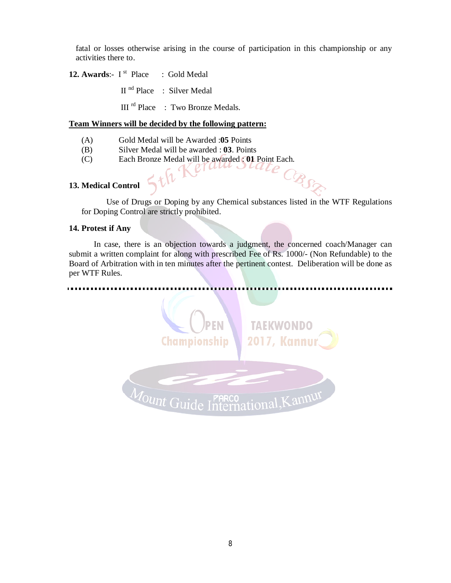fatal or losses otherwise arising in the course of participation in this championship or any activities there to.

**12. Awards**:- I st : Gold Medal

II<sup>nd</sup> Place : Silver Medal

III<sup>rd</sup> Place : Two Bronze Medals.

#### **Team Winners will be decided by the following pattern:**

- (A) Gold Medal will be Awarded :**05** Points
- (B) Silver Medal will be awarded : **03**. Points
- (C) Each Bronze Medal will be awarded : **01** Point Each.

#### **13. Medical Control**

Use of Drugs or Doping by any Chemical substances listed in the WTF Regulations for Doping Control are strictly prohibited.

CBSE

#### **14. Protest if Any**

In case, there is an objection towards a judgment, the concerned coach/Manager can submit a written complaint for along with prescribed Fee of Rs. 1000/- (Non Refundable) to the Board of Arbitration with in ten minutes after the pertinent contest. Deliberation will be done as per WTF Rules.

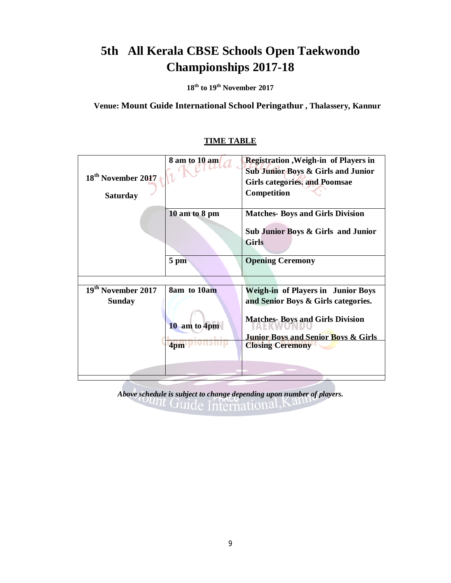**18 th to 19 th November 2017**

**Venue: Mount Guide International School Peringathur , Thalassery, Kannur**

|                                | 8 am to 10 am  | <b>Registration</b> , Weigh-in of Players in   |
|--------------------------------|----------------|------------------------------------------------|
| 18 <sup>th</sup> November 2017 |                | <b>Sub Junior Boys &amp; Girls and Junior</b>  |
|                                |                | <b>Girls categories, and Poomsae</b>           |
| <b>Saturday</b>                |                | Competition                                    |
|                                | 10 am to 8 pm  | <b>Matches- Boys and Girls Division</b>        |
|                                |                | Sub Junior Boys & Girls and Junior             |
|                                |                | <b>Girls</b>                                   |
|                                | $5 \text{ pm}$ | <b>Opening Ceremony</b>                        |
|                                |                |                                                |
| 19 <sup>th</sup> November 2017 | 8am to 10am    | <b>Weigh-in of Players in Junior Boys</b>      |
| <b>Sunday</b>                  |                | and Senior Boys & Girls categories.            |
|                                |                |                                                |
|                                | 10 am to 4pm   | <b>Matches-Boys and Girls Division</b>         |
|                                |                | <b>Junior Boys and Senior Boys &amp; Girls</b> |
|                                | 4pm            | <b>Closing Ceremony</b>                        |
|                                |                |                                                |
|                                |                |                                                |
|                                |                |                                                |

### **TIME TABLE**

*Above schedule* is *subject to change depending upon number of players.*<br>*CUICE* International, Kall *depending*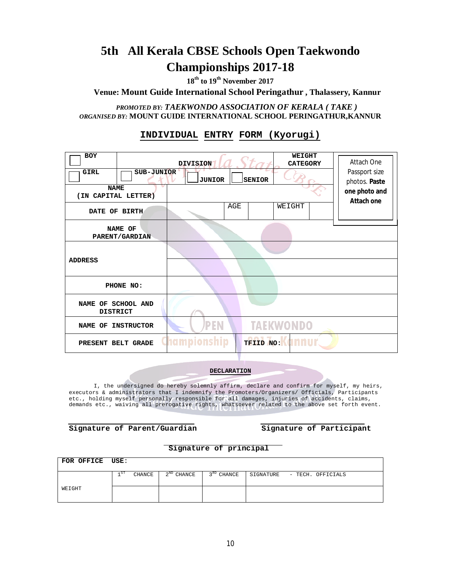**18 th to 19 th November 2017**

**Venue: Mount Guide International School Peringathur , Thalassery, Kannur**

*PROMOTED BY: TAEKWONDO ASSOCIATION OF KERALA ( TAKE ) ORGANISED BY:* **MOUNT GUIDE INTERNATIONAL SCHOOL PERINGATHUR,KANNUR**

### **INDIVIDUAL ENTRY FORM (Kyorugi)**

| <b>BOY</b>                            |                           | <b>DIVISION</b>                |     | <b>WEIGHT</b><br><b>CATEGORY</b> | Attach One                  |
|---------------------------------------|---------------------------|--------------------------------|-----|----------------------------------|-----------------------------|
| <b>GIRL</b>                           | SUB-JUNIOR                | Passport size<br>photos. Paste |     |                                  |                             |
| <b>NAME</b><br>(IN CAPITAL LETTER)    |                           |                                |     |                                  | one photo and<br>Attach one |
| DATE OF BIRTH                         |                           |                                | AGE | WEIGHT                           |                             |
|                                       | NAME OF<br>PARENT/GARDIAN |                                |     |                                  |                             |
| <b>ADDRESS</b>                        |                           |                                |     |                                  |                             |
|                                       | PHONE NO:                 |                                |     |                                  |                             |
| NAME OF SCHOOL AND<br><b>DISTRICT</b> |                           |                                |     |                                  |                             |
| NAME OF                               | <b>INSTRUCTOR</b>         | PEN                            |     | <b>TAEKWONDO</b>                 |                             |
| PRESENT BELT GRADE                    |                           | mpions                         |     | <b>TFIID NO: 400 UI</b>          |                             |

**DECLARATION**

I, the undersigned do hereby solemnly affirm, declare and confirm for myself, my heirs, executors & administrators that I indemnify the Promoters/Organizers/ Officials, Participants etc., holding myself personally responsible for all damages, injuries of accidents, claims, demands etc., waiving all prerogative rights, whatsoever related to the above set forth event.

| Signature of Parent/Guardian |  |  |  |
|------------------------------|--|--|--|
|------------------------------|--|--|--|

#### **Signature of Parent/Guardian Signature of Participant**

#### **Signature of principal**

| FOR OFFICE USE: |                                                                                    |  |
|-----------------|------------------------------------------------------------------------------------|--|
|                 | $2^{ND}$ CHANCE<br>$3^{RD}$ CHANCE<br>CHANCE<br>-81<br>SIGNATURE - TECH. OFFICIALS |  |
| WEIGHT          |                                                                                    |  |